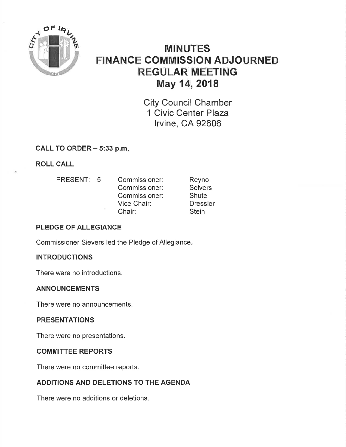

# MINUTES FINANCE COMMISSION ADJOURNED REGULAR MEETING May 14,2018

City Council Chamber 1 Civic Center Plaza lrvine, CA 92606

#### CALL TO ORDER  $-5:33$  p.m.

ROLL CALL

- PRESENT: 5 Commissioner:
	-
- Commissioner: Commissioner: Vice Chair: Chair:

Reyno **Seivers Shute Dressler Stein** 

#### PLEDGE OF ALLEGIANCE

Commissioner Sievers led the Pledge of Allegiance

# **INTRODUCTIONS**

There were no introductions.

#### ANNOUNCEMENTS

There were no announcements.

#### PRESENTATIONS

There were no presentations.

#### COMMITTEE REPORTS

There were no committee reports.

#### ADDITIONS AND DELETIONS TO THE AGENDA

There were no additions or deletions.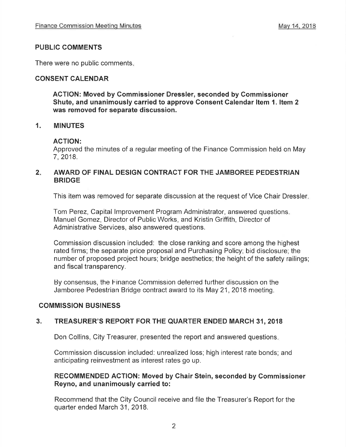#### PUBLIC COMMENTS

There were no public comments

#### CONSENT CALENDAR

AGTION: Moved by Commissioner Dressler, seconded by Gommissioner Shute, and unanimously carried to approve Consent Galendar ltem 1. ltem 2 was removed for separate discussion.

#### 1. MINUTES

#### ACTION:

Approved the minutes of a regular meeting of the Finance Commission held on May 7,2018.

#### $2.$ AWARD OF FINAL DESIGN CONTRACT FOR THE JAMBOREE PEDESTRIAN BRIDGE

This item was removed for separate discussion at the request of Vice Chair Dressler

Tom Perez, Capital lmprovement Program Administrator, answered questions Manuel Gomez, Director of Public Works, and Kristin Griffith, Director of Administrative Services, also answered questions.

Commission discussion included: the close ranking and score among the highest rated firms; the separate price proposal and Purchasing Policy; bid disclosure; the number of proposed project hours; bridge aesthetics; the height of the safety railings; and fiscal transparency.

By consensus, the Finance Commission deterred turther discussion on the Jamboree Pedestrian Bridge contract award to its May 21,2018 meeting.

#### COMMISSION BUSINESS

#### 3. TREASURER'S REPORT FOR THE QUARTER ENDED MARCH 31,2018

Don Collins, City Treasurer, presented the report and answered questions

Commission discussion included: unrealized loss; high interest rate bonds; and anticipating reinvestment as interest rates go up.

#### RECOMMENDED ACTION: Moved by Chair Stein, seconded by Commissioner Reyno, and unanimously carried to:

Recommend that the City Council receive and file the Treasurer's Report for the quarter ended March 31,2018.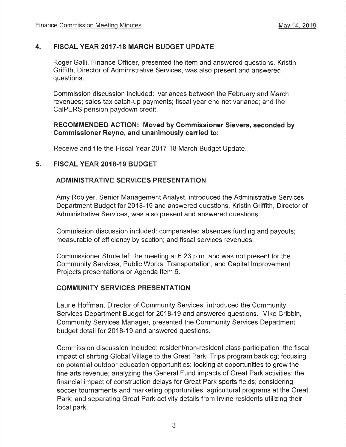#### 4. FISCAL YEAR 2017-18 MARCH BUDGET UPDATE

Roger Galli, Finance Officer, presented the item and answered questions. Kristin Griffith, Director of Administrative Services, was also present and answered questions.

Commission discussion included: variances between the February and March revenues; sales tax catch-up payments; fiscal year end net variance; and the CaIPERS pension paydown credit.

#### RECOMMENDED AGTION: Moved by Commissioner Sievers, seconded by Gommissioner Reyno, and unanimously carried to:

Receive and file the Fiscal Year 2017-18 March Budget Update

#### 5. FISCAL YEAR 2018-19 BUDGET

#### ADMINISTRATIVE SERVICES PRESENTATION

Amy Roblyer, Senior Management Analyst, introduced the Administrative Services Department Budget for 2018-19 and answered questions. Kristin Griffith, Director of Administrative Services, was also present and answered questions.

Commission discussion included: compensated absences funding and payouts; measurable of efficiency by section; and fiscal services revenues.

Commissioner Shute left the meeting at 6:23 p.m. and was not present for the Community Services, Public Works, Transportation, and Capital lmprovement Projects presentations or Agenda ltem 6.

#### COMMUNITY SERVICES PRESENTATION

Laurie Hoffman, Director of Community Services, introduced the Community Services Department Budget for 2018-19 and answered questions. Mike Cribbin, Community Services Manager, presented the Community Services Department budget detail for 2018-19 and answered questions.

Commission discussion included: resident/non-resident class participation; the fiscal impact of shifting Global Village to the Great Park; Trips program backlog; focusing on potential outdoor education opportunities; looking at opportunities to grow the fine arts revenue; analyzing the General Fund impacts of Great Park activities; the financial impact of construction delays for Great Park sports fields; considering soccer tournaments and marketing opportunities; agricultural programs at the Great Park; and separating Great Park activity details from lrvine residents utilizing their local park.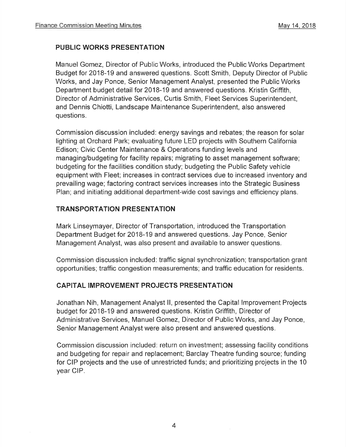#### PUBLIC WORKS PRESENTATION

Manuel Gomez, Director of Public Works, introduced the Public Works Department Budget for 2018-19 and answered questions. Scott Smith, Deputy Director of Public Works, and Jay Ponce, Senior Management Analyst, presented the Public Works Department budget detail for 2018-19 and answered questions. Kristin Griffith, Director of Administrative Services, Curtis Smith, Fleet Services Superintendent, and Dennis Chiotti, Landscape Maintenance Superintendent, also answered questions.

Commission discussion included: energy savings and rebates; the reason for solar lighting at Orchard Park; evaluating future LED projects with Southern California Edison; Civic Center Maintenance & Operations funding levels and managing/budgeting for facility repairs; migrating to asset management software; budgeting for the facilities condition study; budgeting the Public Safety vehicle equipment with Fleet; increases in contract services due to increased inventory and prevailing wage; factoring contract services increases into the Strategic Business Plan; and initiating additional department-wide cost savings and efficiency plans.

# TRANSPORTATION PRESENTATION

Mark Linseymayer, Director of Transportation, introduced the Transportation Department Budget for 2018-19 and answered questions. Jay Ponce, Senior Management Analyst, was also present and available to answer questions.

Commission discussion included: traffic signal synchronization; transportation grant opportunities; traffic congestion measurements; and traffic education for residents.

# CAPITAL IMPROVEMENT PROJECTS PRESENTATION

Jonathan Nih, Management Analyst ll, presented the Capital lmprovement Projects budget for 2018-19 and answered questions. Kristin Griffith, Director of Administrative Services, Manuel Gomez, Director of Public Works, and Jay Ponce, Senior Management Analyst were also present and answered questions.

Commission discussion included: return on investment; assessing facility conditions and budgeting for repair and replacement; Barclay Theatre funding source; funding for CIP projects and the use of unrestricted funds; and prioritizing projects in the 10 year ClP.